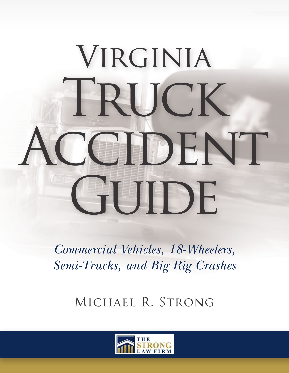# VIRGINIA TRUCK ACCIDENT GHUDE

*Commercial Vehicles, 18-Wheelers, Semi-Trucks, and Big Rig Crashes*

Michael R. Strong

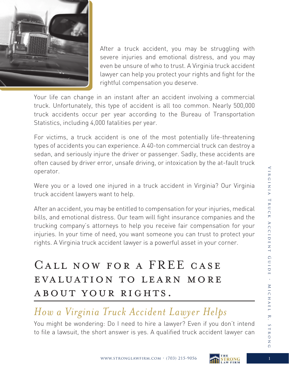

After a truck accident, you may be struggling with severe injuries and emotional distress, and you may even be unsure of who to trust. A Virginia truck accident lawyer can help you protect your rights and fight for the rightful compensation you deserve.

Your life can change in an instant after an accident involving a commercial truck. Unfortunately, this type of accident is all too common. Nearly 500,000 truck accidents occur per year according to the Bureau of Transportation Statistics, including 4,000 fatalities per year.

For victims, a truck accident is one of the most potentially life-threatening types of accidents you can experience. A 40-ton commercial truck can destroy a sedan, and seriously injure the driver or passenger. Sadly, these accidents are often caused by driver error, unsafe driving, or intoxication by the at-fault truck operator.

Were you or a loved one injured in a truck accident in Virginia? Our Virginia truck accident lawyers want to help.

After an accident, you may be entitled to compensation for your injuries, medical bills, and emotional distress. Our team will fight insurance companies and the trucking company's attorneys to help you receive fair compensation for your injuries. In your time of need, you want someone you can trust to protect your rights. A Virginia truck accident lawyer is a powerful asset in your corner.

## Call now for a FREE case evaluation to learn more about your rights.

#### *How a Virginia Truck Accident Lawyer Helps*

You might be wondering: Do I need to hire a lawyer? Even if you don't intend to file a lawsuit, the short answer is yes. A qualified truck accident lawyer can

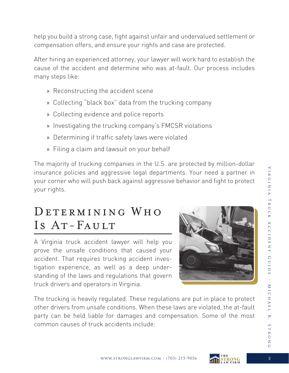help you build a strong case, fight against unfair and undervalued settlement or compensation offers, and ensure your rights and case are protected.

After hiring an experienced attorney, your lawyer will work hard to establish the cause of the accident and determine who was at-fault. Our process includes many steps like:

- » Reconstructing the accident scene
- » Collecting "black box" data from the trucking company
- » Collecting evidence and police reports
- » Investigating the trucking company's FMCSR violations
- » Determining if traffic safety laws were violated
- » Filing a claim and lawsuit on your behalf

The majority of trucking companies in the U.S. are protected by million-dollar insurance policies and aggressive legal departments. Your need a partner in your corner who will push back against aggressive behavior and fight to protect your rights.

## DETERMINING WHO Is AT-FAULT

A Virginia truck accident lawyer will help you prove the unsafe conditions that caused your accident. That requires trucking accident investigation experience, as well as a deep understanding of the laws and regulations that govern truck drivers and operators in Virginia.



The trucking is heavily regulated. These regulations are put in place to protect other drivers from unsafe conditions. When these laws are violated, the at-fault party can be held liable for damages and compensation. Some of the most common causes of truck accidents include:



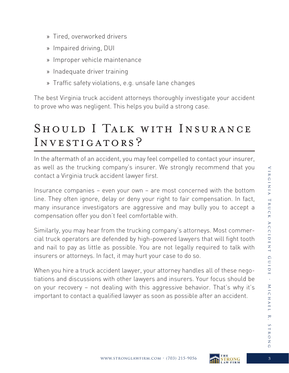- » Tired, overworked drivers
- » Impaired driving, DUI
- » Improper vehicle maintenance
- » Inadequate driver training
- » Traffic safety violations, e.g. unsafe lane changes

The best Virginia truck accident attorneys thoroughly investigate your accident to prove who was negligent. This helps you build a strong case.

## Should I Talk with Insurance INVESTIGATORS?

In the aftermath of an accident, you may feel compelled to contact your insurer, as well as the trucking company's insurer. We strongly recommend that you contact a Virginia truck accident lawyer first.

Insurance companies – even your own – are most concerned with the bottom line. They often ignore, delay or deny your right to fair compensation. In fact, many insurance investigators are aggressive and may bully you to accept a compensation offer you don't feel comfortable with.

Similarly, you may hear from the trucking company's attorneys. Most commercial truck operators are defended by high-powered lawyers that will fight tooth and nail to pay as little as possible. You are not legally required to talk with insurers or attorneys. In fact, it may hurt your case to do so.

When you hire a truck accident lawyer, your attorney handles all of these negotiations and discussions with other lawyers and insurers. Your focus should be on your recovery – not dealing with this aggressive behavior. That's why it's important to contact a qualified lawyer as soon as possible after an accident.



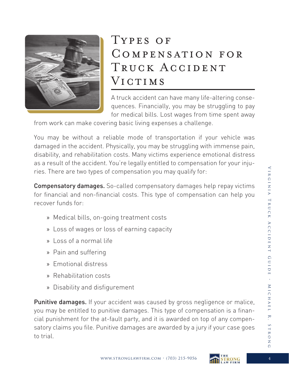

## Types of Compensation for TRUCK ACCIDENT VICTIMS

A truck accident can have many life-altering consequences. Financially, you may be struggling to pay for medical bills. Lost wages from time spent away

from work can make covering basic living expenses a challenge.

You may be without a reliable mode of transportation if your vehicle was damaged in the accident. Physically, you may be struggling with immense pain, disability, and rehabilitation costs. Many victims experience emotional distress as a result of the accident. You're legally entitled to compensation for your injuries. There are two types of compensation you may qualify for:

Compensatory damages. So-called compensatory damages help repay victims for financial and non-financial costs. This type of compensation can help you recover funds for:

- » Medical bills, on-going treatment costs
- » Loss of wages or loss of earning capacity
- » Loss of a normal life
- » Pain and suffering
- » Emotional distress
- » Rehabilitation costs
- » Disability and disfigurement

Punitive damages. If your accident was caused by gross negligence or malice, you may be entitled to punitive damages. This type of compensation is a financial punishment for the at-fault party, and it is awarded on top of any compensatory claims you file. Punitive damages are awarded by a jury if your case goes to trial.

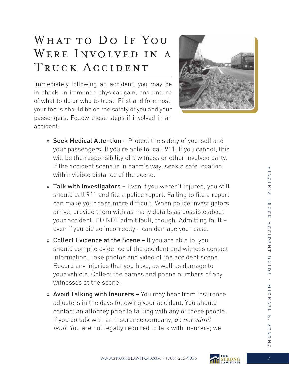# WHAT TO DO IF YOU WERE INVOLVED IN A TRUCK ACCIDENT

Immediately following an accident, you may be in shock, in immense physical pain, and unsure of what to do or who to trust. First and foremost, your focus should be on the safety of you and your passengers. Follow these steps if involved in an accident:



- » Seek Medical Attention Protect the safety of yourself and your passengers. If you're able to, call 911. If you cannot, this will be the responsibility of a witness or other involved party. If the accident scene is in harm's way, seek a safe location within visible distance of the scene.
- » Talk with Investigators Even if you weren't injured, you still should call 911 and file a police report. Failing to file a report can make your case more difficult. When police investigators arrive, provide them with as many details as possible about your accident. DO NOT admit fault, though. Admitting fault – even if you did so incorrectly – can damage your case.
- » Collect Evidence at the Scene If you are able to, you should compile evidence of the accident and witness contact information. Take photos and video of the accident scene. Record any injuries that you have, as well as damage to your vehicle. Collect the names and phone numbers of any witnesses at the scene.
- » Avoid Talking with Insurers You may hear from insurance adjusters in the days following your accident. You should contact an attorney prior to talking with any of these people. If you do talk with an insurance company, do not admit fault. You are not legally required to talk with insurers; we

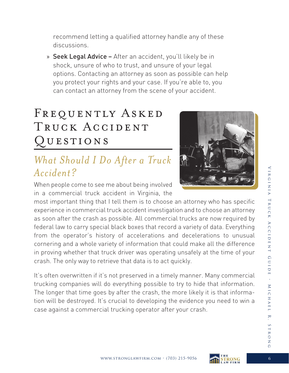recommend letting a qualified attorney handle any of these discussions.

» Seek Legal Advice – After an accident, you'll likely be in shock, unsure of who to trust, and unsure of your legal options. Contacting an attorney as soon as possible can help you protect your rights and your case. If you're able to, you can contact an attorney from the scene of your accident.

# FREQUENTLY ASKED TRUCK ACCIDENT Questions

#### *What Should I Do After a Truck Accident?*



When people come to see me about being involved in a commercial truck accident in Virginia, the

most important thing that I tell them is to choose an attorney who has specific experience in commercial truck accident investigation and to choose an attorney as soon after the crash as possible. All commercial trucks are now required by federal law to carry special black boxes that record a variety of data. Everything from the operator's history of accelerations and decelerations to unusual cornering and a whole variety of information that could make all the difference in proving whether that truck driver was operating unsafely at the time of your crash. The only way to retrieve that data is to act quickly.

It's often overwritten if it's not preserved in a timely manner. Many commercial trucking companies will do everything possible to try to hide that information. The longer that time goes by after the crash, the more likely it is that information will be destroyed. It's crucial to developing the evidence you need to win a case against a commercial trucking operator after your crash.

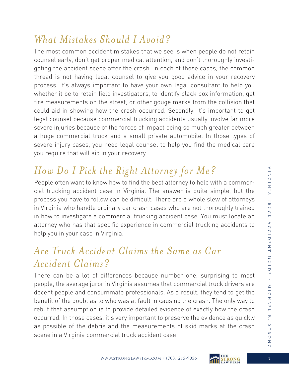#### *What Mistakes Should I Avoid?*

The most common accident mistakes that we see is when people do not retain counsel early, don't get proper medical attention, and don't thoroughly investigating the accident scene after the crash. In each of those cases, the common thread is not having legal counsel to give you good advice in your recovery process. It's always important to have your own legal consultant to help you whether it be to retain field investigators, to identify black box information, get tire measurements on the street, or other gouge marks from the collision that could aid in showing how the crash occurred. Secondly, it's important to get legal counsel because commercial trucking accidents usually involve far more severe injuries because of the forces of impact being so much greater between a huge commercial truck and a small private automobile. In those types of severe injury cases, you need legal counsel to help you find the medical care you require that will aid in your recovery.

## *How Do I Pick the Right Attorney for Me?*

People often want to know how to find the best attorney to help with a commercial trucking accident case in Virginia. The answer is quite simple, but the process you have to follow can be difficult. There are a whole slew of attorneys in Virginia who handle ordinary car crash cases who are not thoroughly trained in how to investigate a commercial trucking accident case. You must locate an attorney who has that specific experience in commercial trucking accidents to help you in your case in Virginia.

#### *Are Truck Accident Claims the Same as Car Accident Claims?*

There can be a lot of differences because number one, surprising to most people, the average juror in Virginia assumes that commercial truck drivers are decent people and consummate professionals. As a result, they tend to get the benefit of the doubt as to who was at fault in causing the crash. The only way to rebut that assumption is to provide detailed evidence of exactly how the crash occurred. In those cases, it's very important to preserve the evidence as quickly as possible of the debris and the measurements of skid marks at the crash scene in a Virginia commercial truck accident case.

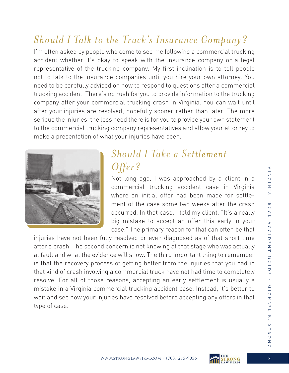#### *Should I Talk to the Truck's Insurance Company?*

I'm often asked by people who come to see me following a commercial trucking accident whether it's okay to speak with the insurance company or a legal representative of the trucking company. My first inclination is to tell people not to talk to the insurance companies until you hire your own attorney. You need to be carefully advised on how to respond to questions after a commercial trucking accident. There's no rush for you to provide information to the trucking company after your commercial trucking crash in Virginia. You can wait until after your injuries are resolved; hopefully sooner rather than later. The more serious the injuries, the less need there is for you to provide your own statement to the commercial trucking company representatives and allow your attorney to make a presentation of what your injuries have been.



#### *Should I Take a Settlement Offer?*

Not long ago, I was approached by a client in a commercial trucking accident case in Virginia where an initial offer had been made for settlement of the case some two weeks after the crash occurred. In that case, I told my client, "It's a really big mistake to accept an offer this early in your case." The primary reason for that can often be that

injuries have not been fully resolved or even diagnosed as of that short time after a crash. The second concern is not knowing at that stage who was actually at fault and what the evidence will show. The third important thing to remember is that the recovery process of getting better from the injuries that you had in that kind of crash involving a commercial truck have not had time to completely resolve. For all of those reasons, accepting an early settlement is usually a mistake in a Virginia commercial trucking accident case. Instead, it's better to wait and see how your injuries have resolved before accepting any offers in that type of case.



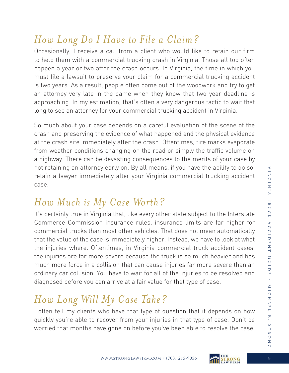#### *How Long Do I Have to File a Claim?*

Occasionally, I receive a call from a client who would like to retain our firm to help them with a commercial trucking crash in Virginia. Those all too often happen a year or two after the crash occurs. In Virginia, the time in which you must file a lawsuit to preserve your claim for a commercial trucking accident is two years. As a result, people often come out of the woodwork and try to get an attorney very late in the game when they know that two-year deadline is approaching. In my estimation, that's often a very dangerous tactic to wait that long to see an attorney for your commercial trucking accident in Virginia.

So much about your case depends on a careful evaluation of the scene of the crash and preserving the evidence of what happened and the physical evidence at the crash site immediately after the crash. Oftentimes, tire marks evaporate from weather conditions changing on the road or simply the traffic volume on a highway. There can be devasting consequences to the merits of your case by not retaining an attorney early on. By all means, if you have the ability to do so, retain a lawyer immediately after your Virginia commercial trucking accident case.

## *How Much is My Case Worth?*

It's certainly true in Virginia that, like every other state subject to the Interstate Commerce Commission insurance rules, insurance limits are far higher for commercial trucks than most other vehicles. That does not mean automatically that the value of the case is immediately higher. Instead, we have to look at what the injuries where. Oftentimes, in Virginia commercial truck accident cases, the injuries are far more severe because the truck is so much heavier and has much more force in a collision that can cause injuries far more severe than an ordinary car collision. You have to wait for all of the injuries to be resolved and diagnosed before you can arrive at a fair value for that type of case.

# *How Long Will My Case Take?*

I often tell my clients who have that type of question that it depends on how quickly you're able to recover from your injuries in that type of case. Don't be worried that months have gone on before you've been able to resolve the case.



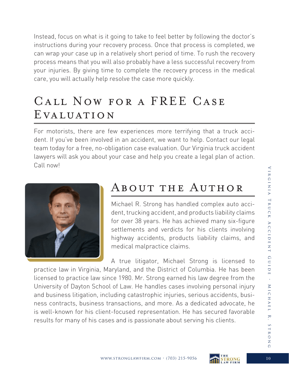Instead, focus on what is it going to take to feel better by following the doctor's instructions during your recovery process. Once that process is completed, we can wrap your case up in a relatively short period of time. To rush the recovery process means that you will also probably have a less successful recovery from your injuries. By giving time to complete the recovery process in the medical care, you will actually help resolve the case more quickly.

## Call Now for a FREE Case Evaluation

For motorists, there are few experiences more terrifying that a truck accident. If you've been involved in an accident, we want to help. Contact our legal team today for a free, no-obligation case evaluation. Our Virginia truck accident lawyers will ask you about your case and help you create a legal plan of action. Call now!



#### About the Author

Michael R. Strong has handled complex auto accident, trucking accident, and products liability claims for over 38 years. He has achieved many six-figure settlements and verdicts for his clients involving highway accidents, products liability claims, and medical malpractice claims.

A true litigator, Michael Strong is licensed to practice law in Virginia, Maryland, and the District of Columbia. He has been licensed to practice law since 1980. Mr. Strong earned his law degree from the University of Dayton School of Law. He handles cases involving personal injury and business litigation, including catastrophic injuries, serious accidents, business contracts, business transactions, and more. As a dedicated advocate, he is well-known for his client-focused representation. He has secured favorable results for many of his cases and is passionate about serving his clients.

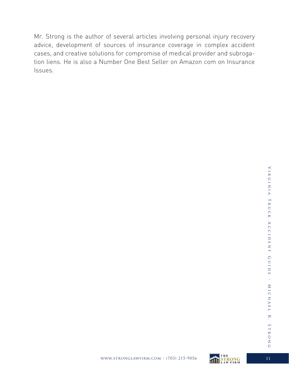Mr. Strong is the author of several articles involving personal injury recovery advice, development of sources of insurance coverage in complex accident cases, and creative solutions for compromise of medical provider and subrogation liens. He is also a Number One Best Seller on Amazon com on Insurance Issues.